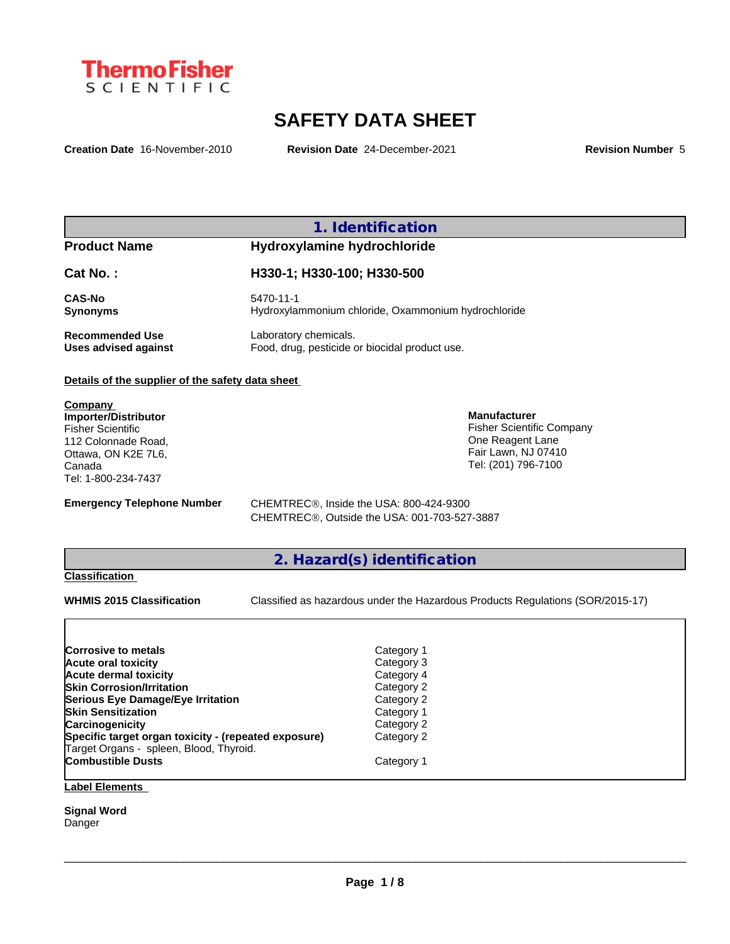

# **SAFETY DATA SHEET**

**Creation Date** 16-November-2010 **Revision Date** 24-December-2021 **Revision Number** 5

## **1. Identification**

# **Product Name Hydroxylamine hydrochloride**

**Cat No. : H330-1; H330-100; H330-500 CAS-No** 5470-11-1 **Synonyms Hydroxylammonium chloride, Oxammonium hydrochloride Recommended Use** Laboratory chemicals.<br> **Uses advised against** Food, drug, pesticide of Food, drug, pesticide or biocidal product use.

#### **Details of the supplier of the safety data sheet**

**Company Importer/Distributor** Fisher Scientific 112 Colonnade Road, Ottawa, ON K2E 7L6, Canada Tel: 1-800-234-7437

**Emergency Telephone Number** CHEMTREC<sup>®</sup>, Inside the USA: 800-424-9300 CHEMTREC®, Outside the USA: 001-703-527-3887

# **2. Hazard(s) identification**

## **Classification**

**WHMIS 2015 Classification** Classified as hazardous under the Hazardous Products Regulations (SOR/2015-17)

 $\_$  ,  $\_$  ,  $\_$  ,  $\_$  ,  $\_$  ,  $\_$  ,  $\_$  ,  $\_$  ,  $\_$  ,  $\_$  ,  $\_$  ,  $\_$  ,  $\_$  ,  $\_$  ,  $\_$  ,  $\_$  ,  $\_$  ,  $\_$  ,  $\_$  ,  $\_$  ,  $\_$  ,  $\_$  ,  $\_$  ,  $\_$  ,  $\_$  ,  $\_$  ,  $\_$  ,  $\_$  ,  $\_$  ,  $\_$  ,  $\_$  ,  $\_$  ,  $\_$  ,  $\_$  ,  $\_$  ,  $\_$  ,  $\_$  ,

**Manufacturer**

Fisher Scientific Company One Reagent Lane Fair Lawn, NJ 07410 Tel: (201) 796-7100

| Corrosive to metals                                                                             | Category 1 |
|-------------------------------------------------------------------------------------------------|------------|
| Acute oral toxicity                                                                             | Category 3 |
| <b>Acute dermal toxicity</b>                                                                    | Category 4 |
| <b>Skin Corrosion/Irritation</b>                                                                | Category 2 |
| Serious Eye Damage/Eye Irritation                                                               | Category 2 |
| <b>Skin Sensitization</b>                                                                       | Category 1 |
| Carcinogenicity                                                                                 | Category 2 |
| Specific target organ toxicity - (repeated exposure)<br>Target Organs - spleen, Blood, Thyroid. | Category 2 |
| <b>Combustible Dusts</b>                                                                        | Category 1 |

# **Label Elements**

**Signal Word** Danger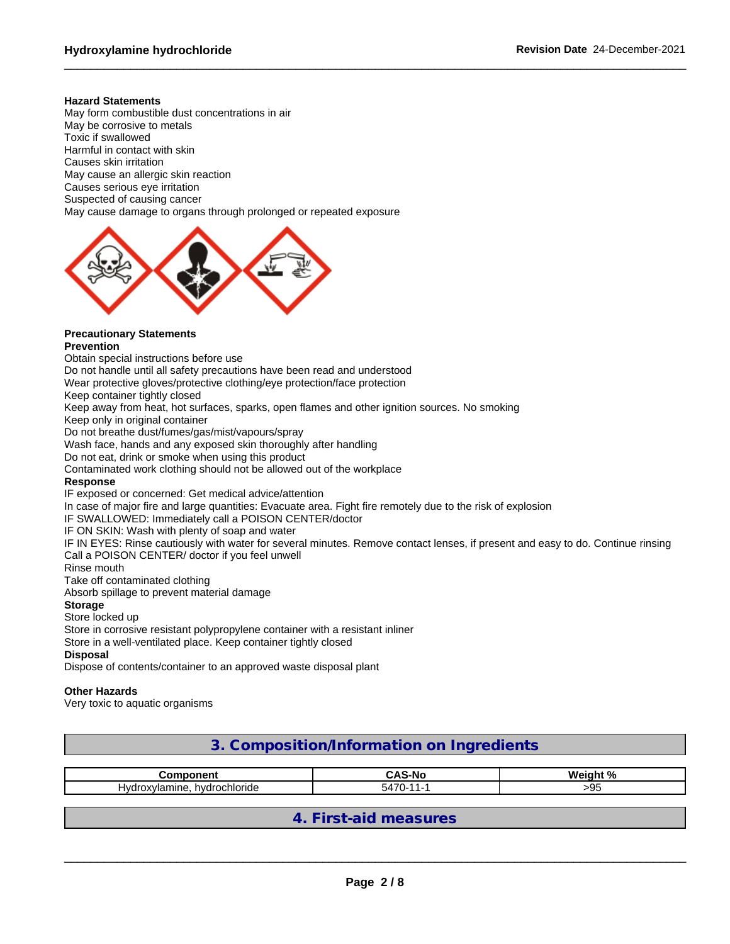#### **Hazard Statements**

May form combustible dust concentrations in air May be corrosive to metals Toxic if swallowed Harmful in contact with skin Causes skin irritation May cause an allergic skin reaction Causes serious eye irritation Suspected of causing cancer May cause damage to organs through prolonged or repeated exposure



# **Precautionary Statements**

## **Prevention**

Obtain special instructions before use

Do not handle until all safety precautions have been read and understood

Wear protective gloves/protective clothing/eye protection/face protection

Keep container tightly closed

Keep away from heat, hot surfaces, sparks, open flames and other ignition sources. No smoking

Keep only in original container

Do not breathe dust/fumes/gas/mist/vapours/spray

Wash face, hands and any exposed skin thoroughly after handling

Do not eat, drink or smoke when using this product

Contaminated work clothing should not be allowed out of the workplace

#### **Response**

IF exposed or concerned: Get medical advice/attention

In case of major fire and large quantities: Evacuate area. Fight fire remotely due to the risk of explosion

IF SWALLOWED: Immediately call a POISON CENTER/doctor

IF ON SKIN: Wash with plenty of soap and water

IF IN EYES: Rinse cautiously with water for several minutes. Remove contact lenses, if present and easy to do. Continue rinsing Call a POISON CENTER/ doctor if you feel unwell

#### Rinse mouth

Take off contaminated clothing

Absorb spillage to prevent material damage

### **Storage**

#### Store locked up

Store in corrosive resistant polypropylene container with a resistant inliner

Store in a well-ventilated place. Keep container tightly closed

#### **Disposal**

Dispose of contents/container to an approved waste disposal plant

#### **Other Hazards**

Very toxic to aquatic organisms

**3. Composition/Information on Ingredients**

| ------------                                                | ◠<br>    | <b>Wainh</b><br><b>د م</b> |
|-------------------------------------------------------------|----------|----------------------------|
| hvdrochloride<br>$-$<br>ne.<br>⊣var<br>$\mathbf{v}$<br>. am | $-1 - 1$ | ገር<br>ື                    |

# **4. First-aid measures**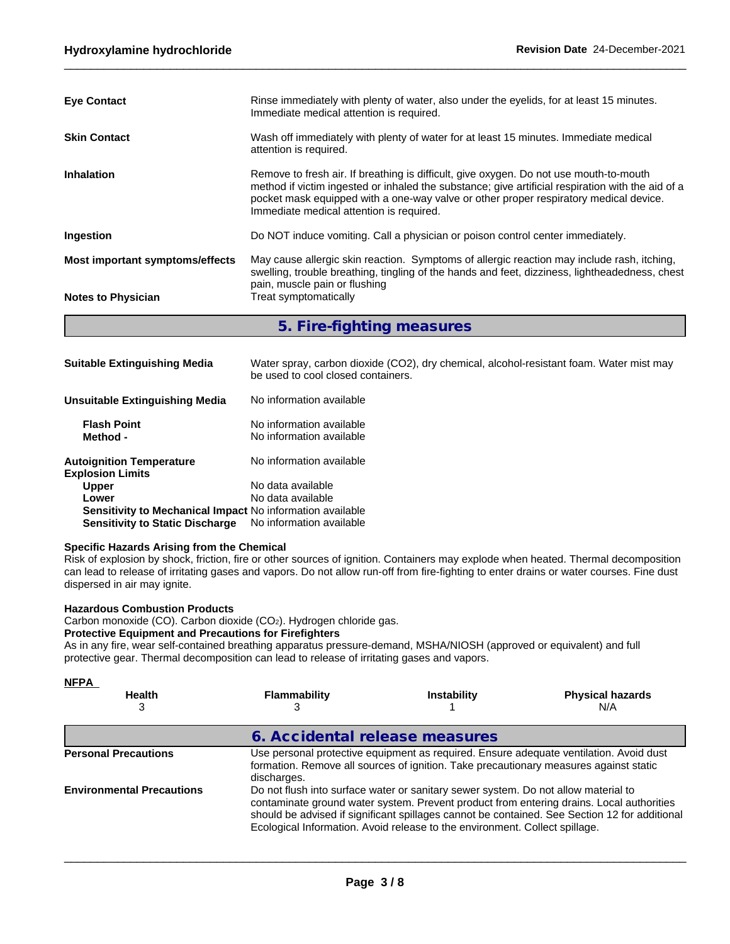| <b>Eye Contact</b>              | Rinse immediately with plenty of water, also under the eyelids, for at least 15 minutes.<br>Immediate medical attention is required.                                                                                                                                                                                             |
|---------------------------------|----------------------------------------------------------------------------------------------------------------------------------------------------------------------------------------------------------------------------------------------------------------------------------------------------------------------------------|
| <b>Skin Contact</b>             | Wash off immediately with plenty of water for at least 15 minutes. Immediate medical<br>attention is required.                                                                                                                                                                                                                   |
| <b>Inhalation</b>               | Remove to fresh air. If breathing is difficult, give oxygen. Do not use mouth-to-mouth<br>method if victim ingested or inhaled the substance; give artificial respiration with the aid of a<br>pocket mask equipped with a one-way valve or other proper respiratory medical device.<br>Immediate medical attention is required. |
| Ingestion                       | Do NOT induce vomiting. Call a physician or poison control center immediately.                                                                                                                                                                                                                                                   |
| Most important symptoms/effects | May cause allergic skin reaction. Symptoms of allergic reaction may include rash, itching,<br>swelling, trouble breathing, tingling of the hands and feet, dizziness, lightheadedness, chest<br>pain, muscle pain or flushing                                                                                                    |
| <b>Notes to Physician</b>       | Treat symptomatically                                                                                                                                                                                                                                                                                                            |

**5. Fire-fighting measures**

| <b>Suitable Extinguishing Media</b>                        | Water spray, carbon dioxide (CO2), dry chemical, alcohol-resistant foam. Water mist may<br>be used to cool closed containers. |
|------------------------------------------------------------|-------------------------------------------------------------------------------------------------------------------------------|
| <b>Unsuitable Extinguishing Media</b>                      | No information available                                                                                                      |
| <b>Flash Point</b><br>Method -                             | No information available<br>No information available                                                                          |
| <b>Autoignition Temperature</b><br><b>Explosion Limits</b> | No information available                                                                                                      |
| <b>Upper</b>                                               | No data available                                                                                                             |
| Lower                                                      | No data available                                                                                                             |
| Sensitivity to Mechanical Impact No information available  |                                                                                                                               |
| <b>Sensitivity to Static Discharge</b>                     | No information available                                                                                                      |

#### **Specific Hazards Arising from the Chemical**

Risk of explosion by shock, friction, fire or other sources of ignition. Containers may explode when heated. Thermal decomposition can lead to release of irritating gases and vapors. Do not allow run-off from fire-fighting to enter drains or water courses. Fine dust dispersed in air may ignite.

#### **Hazardous Combustion Products**

Carbon monoxide (CO). Carbon dioxide (CO2). Hydrogen chloride gas.

### **Protective Equipment and Precautions for Firefighters**

As in any fire, wear self-contained breathing apparatus pressure-demand, MSHA/NIOSH (approved or equivalent) and full protective gear. Thermal decomposition can lead to release of irritating gases and vapors.

| <b>NFPA</b><br><b>Health</b><br>3 | Flammability                   | <b>Instability</b>                                                                                                                                                | <b>Physical hazards</b><br>N/A                                                                                                                                                            |
|-----------------------------------|--------------------------------|-------------------------------------------------------------------------------------------------------------------------------------------------------------------|-------------------------------------------------------------------------------------------------------------------------------------------------------------------------------------------|
|                                   | 6. Accidental release measures |                                                                                                                                                                   |                                                                                                                                                                                           |
| <b>Personal Precautions</b>       | discharges.                    |                                                                                                                                                                   | Use personal protective equipment as required. Ensure adequate ventilation. Avoid dust<br>formation. Remove all sources of ignition. Take precautionary measures against static           |
| <b>Environmental Precautions</b>  |                                | Do not flush into surface water or sanitary sewer system. Do not allow material to<br>Ecological Information. Avoid release to the environment. Collect spillage. | contaminate ground water system. Prevent product from entering drains. Local authorities<br>should be advised if significant spillages cannot be contained. See Section 12 for additional |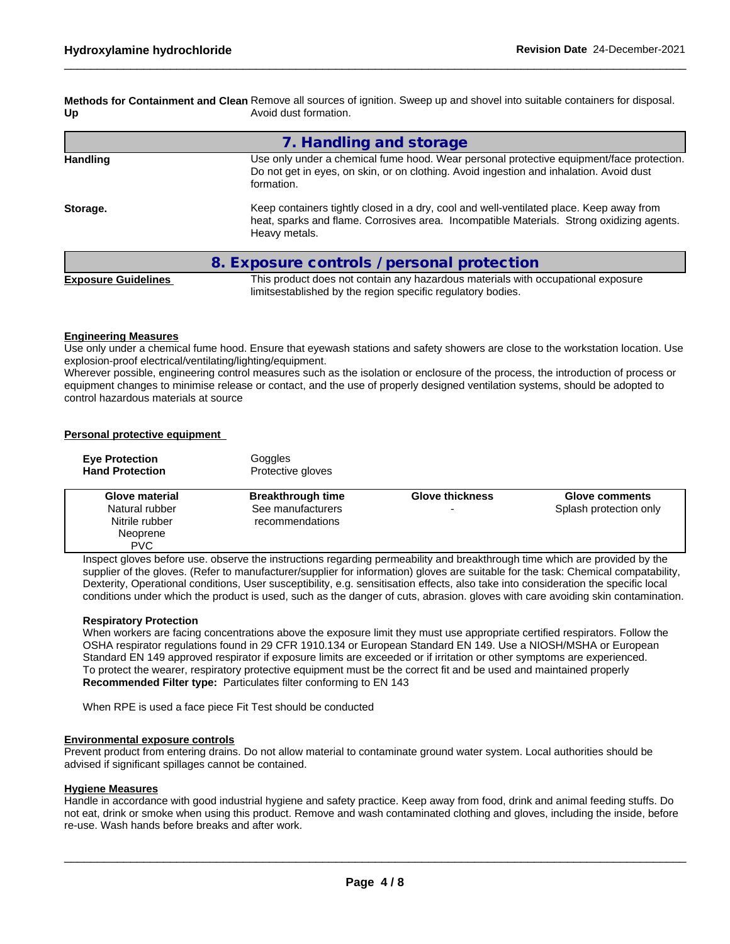**Methods for Containment and Clean** Remove all sources of ignition. Sweep up and shovel into suitable containers for disposal. **Up** Avoid dust formation.

|                 | 7. Handling and storage                                                                                                                                                                               |
|-----------------|-------------------------------------------------------------------------------------------------------------------------------------------------------------------------------------------------------|
| <b>Handling</b> | Use only under a chemical fume hood. Wear personal protective equipment/face protection.<br>Do not get in eyes, on skin, or on clothing. Avoid ingestion and inhalation. Avoid dust<br>formation.     |
| Storage.        | Keep containers tightly closed in a dry, cool and well-ventilated place. Keep away from<br>heat, sparks and flame. Corrosives area. Incompatible Materials. Strong oxidizing agents.<br>Heavy metals. |
|                 | 8. Exposure controls / personal protection                                                                                                                                                            |

**Exposure Guidelines** This product does not contain any hazardous materials with occupational exposure limitsestablished by the region specific regulatory bodies.

#### **Engineering Measures**

Use only under a chemical fume hood. Ensure that eyewash stations and safety showers are close to the workstation location. Use explosion-proof electrical/ventilating/lighting/equipment.

Wherever possible, engineering control measures such as the isolation or enclosure of the process, the introduction of process or equipment changes to minimise release or contact, and the use of properly designed ventilation systems, should be adopted to control hazardous materials at source

#### **Personal protective equipment**

| <b>Eve Protection</b><br><b>Hand Protection</b>            | Goggles<br>Protective gloves         |                        |                        |
|------------------------------------------------------------|--------------------------------------|------------------------|------------------------|
| Glove material                                             | <b>Breakthrough time</b>             | <b>Glove thickness</b> | <b>Glove comments</b>  |
| Natural rubber<br>Nitrile rubber<br>Neoprene<br><b>PVC</b> | See manufacturers<br>recommendations | -                      | Splash protection only |

Inspect gloves before use. observe the instructions regarding permeability and breakthrough time which are provided by the supplier of the gloves. (Refer to manufacturer/supplier for information) gloves are suitable for the task: Chemical compatability, Dexterity, Operational conditions, User susceptibility, e.g. sensitisation effects, also take into consideration the specific local conditions under which the product is used, such as the danger of cuts, abrasion. gloves with care avoiding skin contamination.

#### **Respiratory Protection**

When workers are facing concentrations above the exposure limit they must use appropriate certified respirators. Follow the OSHA respirator regulations found in 29 CFR 1910.134 or European Standard EN 149. Use a NIOSH/MSHA or European Standard EN 149 approved respirator if exposure limits are exceeded or if irritation or other symptoms are experienced. To protect the wearer, respiratory protective equipment must be the correct fit and be used and maintained properly **Recommended Filter type:** Particulates filter conforming to EN 143

When RPE is used a face piece Fit Test should be conducted

#### **Environmental exposure controls**

Prevent product from entering drains. Do not allow material to contaminate ground water system. Local authorities should be advised if significant spillages cannot be contained.

#### **Hygiene Measures**

Handle in accordance with good industrial hygiene and safety practice. Keep away from food, drink and animal feeding stuffs. Do not eat, drink or smoke when using this product. Remove and wash contaminated clothing and gloves, including the inside, before re-use. Wash hands before breaks and after work.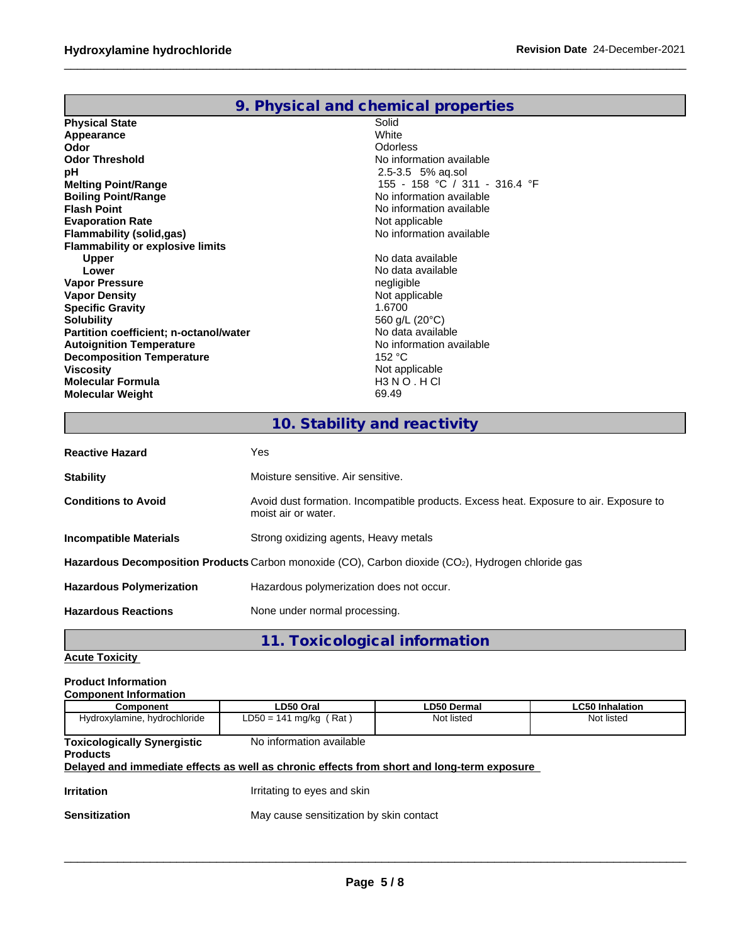|--|

| <b>Physical State</b>                         | Solid                         |
|-----------------------------------------------|-------------------------------|
| Appearance                                    | White                         |
| Odor                                          | Odorless                      |
| <b>Odor Threshold</b>                         | No information available      |
| рH                                            | 2.5-3.5 5% ag.sol             |
| <b>Melting Point/Range</b>                    | 155 - 158 °C / 311 - 316.4 °F |
| <b>Boiling Point/Range</b>                    | No information available      |
| <b>Flash Point</b>                            | No information available      |
| <b>Evaporation Rate</b>                       | Not applicable                |
| <b>Flammability (solid,gas)</b>               | No information available      |
| <b>Flammability or explosive limits</b>       |                               |
| Upper                                         | No data available             |
| Lower                                         | No data available             |
| <b>Vapor Pressure</b>                         | negligible                    |
| <b>Vapor Density</b>                          | Not applicable                |
| <b>Specific Gravity</b>                       | 1.6700                        |
| <b>Solubility</b>                             | 560 g/L (20°C)                |
| <b>Partition coefficient; n-octanol/water</b> | No data available             |
| <b>Autoignition Temperature</b>               | No information available      |
| <b>Decomposition Temperature</b>              | 152 °C                        |
| Viscosity                                     | Not applicable                |
| <b>Molecular Formula</b>                      | $H3NO$ . HCI                  |
| <b>Molecular Weight</b>                       | 69.49                         |

# **10. Stability and reactivity**

| <b>Reactive Hazard</b>          | Yes                                                                                                           |
|---------------------------------|---------------------------------------------------------------------------------------------------------------|
| <b>Stability</b>                | Moisture sensitive. Air sensitive.                                                                            |
| <b>Conditions to Avoid</b>      | Avoid dust formation. Incompatible products. Excess heat. Exposure to air. Exposure to<br>moist air or water. |
| Incompatible Materials          | Strong oxidizing agents, Heavy metals                                                                         |
|                                 | Hazardous Decomposition Products Carbon monoxide (CO), Carbon dioxide (CO2), Hydrogen chloride gas            |
| <b>Hazardous Polymerization</b> | Hazardous polymerization does not occur.                                                                      |
| <b>Hazardous Reactions</b>      | None under normal processing.                                                                                 |
|                                 |                                                                                                               |

# **11. Toxicological information**

# **Acute Toxicity**

#### **Product Information Component Information**

| <b>UUIIIDUIIEIII IIIIUIIIIAIIUII</b>                  |                                                                                            |             |                        |
|-------------------------------------------------------|--------------------------------------------------------------------------------------------|-------------|------------------------|
| <b>Component</b>                                      | LD50 Oral                                                                                  | LD50 Dermal | <b>LC50 Inhalation</b> |
| Hydroxylamine, hydrochloride                          | $LD50 = 141$ mg/kg (Rat)                                                                   | Not listed  | Not listed             |
| <b>Toxicologically Synergistic</b><br><b>Products</b> | No information available                                                                   |             |                        |
|                                                       | Delayed and immediate effects as well as chronic effects from short and long-term exposure |             |                        |
| <b>Irritation</b>                                     | Irritating to eyes and skin                                                                |             |                        |
| <b>Sensitization</b>                                  | May cause sensitization by skin contact                                                    |             |                        |
|                                                       |                                                                                            |             |                        |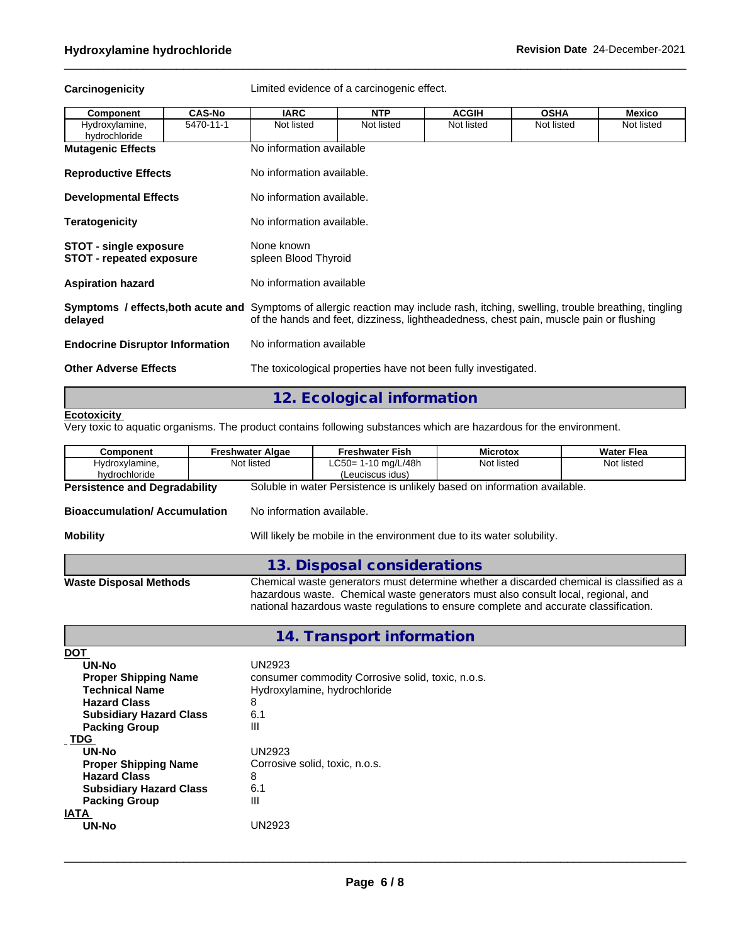**Carcinogenicity** Limited evidence of a carcinogenic effect.

| Component                                                        | <b>CAS-No</b> | <b>IARC</b>                                                                                                                                                                                                                        | <b>NTP</b>                | <b>ACGIH</b>                                                   | <b>OSHA</b> | <b>Mexico</b> |  |
|------------------------------------------------------------------|---------------|------------------------------------------------------------------------------------------------------------------------------------------------------------------------------------------------------------------------------------|---------------------------|----------------------------------------------------------------|-------------|---------------|--|
| Hydroxylamine,<br>hydrochloride                                  | 5470-11-1     | Not listed                                                                                                                                                                                                                         | Not listed                | Not listed                                                     | Not listed  | Not listed    |  |
| <b>Mutagenic Effects</b>                                         |               | No information available                                                                                                                                                                                                           |                           |                                                                |             |               |  |
| <b>Reproductive Effects</b>                                      |               | No information available.                                                                                                                                                                                                          |                           |                                                                |             |               |  |
| <b>Developmental Effects</b>                                     |               |                                                                                                                                                                                                                                    | No information available. |                                                                |             |               |  |
| <b>Teratogenicity</b>                                            |               | No information available.                                                                                                                                                                                                          |                           |                                                                |             |               |  |
| <b>STOT - single exposure</b><br><b>STOT</b> - repeated exposure |               | None known<br>spleen Blood Thyroid                                                                                                                                                                                                 |                           |                                                                |             |               |  |
| <b>Aspiration hazard</b>                                         |               | No information available                                                                                                                                                                                                           |                           |                                                                |             |               |  |
| delayed                                                          |               | <b>Symptoms / effects, both acute and</b> Symptoms of allergic reaction may include rash, itching, swelling, trouble breathing, tingling<br>of the hands and feet, dizziness, lightheadedness, chest pain, muscle pain or flushing |                           |                                                                |             |               |  |
| <b>Endocrine Disruptor Information</b>                           |               | No information available                                                                                                                                                                                                           |                           |                                                                |             |               |  |
| <b>Other Adverse Effects</b>                                     |               |                                                                                                                                                                                                                                    |                           | The toxicological properties have not been fully investigated. |             |               |  |

# **12. Ecological information**

#### **Ecotoxicity**

Very toxic to aquatic organisms. The product contains following substances which are hazardous for the environment.

| Component                            | <b>Freshwater Algae</b>   | <b>Freshwater Fish</b>                                                                                                                                                                                                                                                | <b>Microtox</b>                        | Water Flea |
|--------------------------------------|---------------------------|-----------------------------------------------------------------------------------------------------------------------------------------------------------------------------------------------------------------------------------------------------------------------|----------------------------------------|------------|
| Hydroxylamine,                       | Not listed                |                                                                                                                                                                                                                                                                       | $LC50 = 1 - 10$ mg/L/48h<br>Not listed |            |
| hydrochloride                        |                           | (Leuciscus idus)                                                                                                                                                                                                                                                      |                                        |            |
| <b>Persistence and Degradability</b> |                           | Soluble in water Persistence is unlikely based on information available.                                                                                                                                                                                              |                                        |            |
| <b>Bioaccumulation/Accumulation</b>  | No information available. |                                                                                                                                                                                                                                                                       |                                        |            |
| <b>Mobility</b>                      |                           | Will likely be mobile in the environment due to its water solubility.                                                                                                                                                                                                 |                                        |            |
|                                      |                           | 13. Disposal considerations                                                                                                                                                                                                                                           |                                        |            |
| <b>Waste Disposal Methods</b>        |                           | Chemical waste generators must determine whether a discarded chemical is classified as a<br>hazardous waste. Chemical waste generators must also consult local, regional, and<br>national hazardous waste regulations to ensure complete and accurate classification. |                                        |            |

**14. Transport information**

| <b>DOT</b>                     |                                                   |
|--------------------------------|---------------------------------------------------|
| UN-No                          | <b>UN2923</b>                                     |
| <b>Proper Shipping Name</b>    | consumer commodity Corrosive solid, toxic, n.o.s. |
| <b>Technical Name</b>          | Hydroxylamine, hydrochloride                      |
| <b>Hazard Class</b>            | 8                                                 |
| <b>Subsidiary Hazard Class</b> | 6.1                                               |
| <b>Packing Group</b>           | Ш                                                 |
| <b>TDG</b>                     |                                                   |
| UN-No                          | UN2923                                            |
| <b>Proper Shipping Name</b>    | Corrosive solid, toxic, n.o.s.                    |
| <b>Hazard Class</b>            | 8                                                 |
| <b>Subsidiary Hazard Class</b> | 6.1                                               |
| <b>Packing Group</b>           | Ш                                                 |
| IATA                           |                                                   |
| UN-No                          | <b>IN2923</b>                                     |
|                                |                                                   |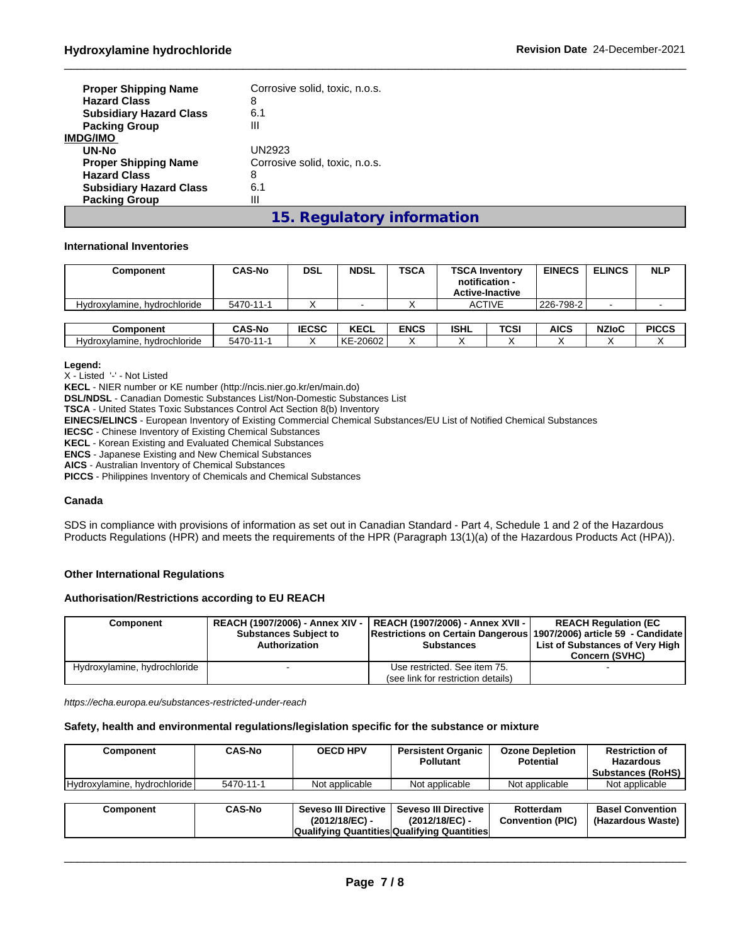| <b>Proper Shipping Name</b><br><b>Hazard Class</b><br><b>Subsidiary Hazard Class</b> | Corrosive solid, toxic, n.o.s.<br>8<br>6.1 |
|--------------------------------------------------------------------------------------|--------------------------------------------|
| <b>Packing Group</b>                                                                 | Ш                                          |
| <b>IMDG/IMO</b>                                                                      |                                            |
| UN-No                                                                                | UN2923                                     |
| <b>Proper Shipping Name</b>                                                          | Corrosive solid, toxic, n.o.s.             |
| <b>Hazard Class</b>                                                                  | 8                                          |
| <b>Subsidiary Hazard Class</b>                                                       | 6.1                                        |
| <b>Packing Group</b>                                                                 | Ш                                          |
|                                                                                      |                                            |

# **15. Regulatory information**

#### **International Inventories**

| Component                    | <b>CAS-No</b> | <b>DSL</b>   | <b>NDSL</b>              | <b>TSCA</b> |             | <b>TSCA Inventory</b><br>notification -<br><b>Active-Inactive</b> | <b>EINECS</b> | <b>ELINCS</b> | <b>NLP</b>   |
|------------------------------|---------------|--------------|--------------------------|-------------|-------------|-------------------------------------------------------------------|---------------|---------------|--------------|
| Hydroxylamine, hydrochloride | 5470-11-1     |              | $\overline{\phantom{0}}$ |             |             | <b>ACTIVE</b>                                                     | 226-798-2     |               |              |
|                              |               |              |                          |             |             |                                                                   |               |               |              |
| Component                    | <b>CAS-No</b> | <b>IECSC</b> | <b>KECL</b>              | <b>ENCS</b> | <b>ISHL</b> | TCSI                                                              | <b>AICS</b>   | <b>NZIoC</b>  | <b>PICCS</b> |
| Hydroxylamine, hydrochloride | 5470-11-1     |              | KE-20602                 |             |             |                                                                   |               |               |              |

**Legend:**

X - Listed '-' - Not Listed

**KECL** - NIER number or KE number (http://ncis.nier.go.kr/en/main.do)

**DSL/NDSL** - Canadian Domestic Substances List/Non-Domestic Substances List

**TSCA** - United States Toxic Substances Control Act Section 8(b) Inventory

**EINECS/ELINCS** - European Inventory of Existing Commercial Chemical Substances/EU List of Notified Chemical Substances

**IECSC** - Chinese Inventory of Existing Chemical Substances

**KECL** - Korean Existing and Evaluated Chemical Substances

**ENCS** - Japanese Existing and New Chemical Substances

**AICS** - Australian Inventory of Chemical Substances

**PICCS** - Philippines Inventory of Chemicals and Chemical Substances

#### **Canada**

SDS in compliance with provisions of information as set out in Canadian Standard - Part 4, Schedule 1 and 2 of the Hazardous Products Regulations (HPR) and meets the requirements of the HPR (Paragraph 13(1)(a) of the Hazardous Products Act (HPA)).

#### **Other International Regulations**

#### **Authorisation/Restrictions according to EU REACH**

| Component                    | <b>Substances Subject to</b><br>Authorization | REACH (1907/2006) - Annex XIV -   REACH (1907/2006) - Annex XVII -  <br><b>Restrictions on Certain Dangerous 1907/2006) article 59 - Candidate</b><br><b>Substances</b> | <b>REACH Requlation (EC</b><br>List of Substances of Very High |  |
|------------------------------|-----------------------------------------------|-------------------------------------------------------------------------------------------------------------------------------------------------------------------------|----------------------------------------------------------------|--|
|                              |                                               |                                                                                                                                                                         | <b>Concern (SVHC)</b>                                          |  |
| Hydroxylamine, hydrochloride |                                               | Use restricted. See item 75.                                                                                                                                            |                                                                |  |
|                              |                                               | (see link for restriction details)                                                                                                                                      |                                                                |  |

*https://echa.europa.eu/substances-restricted-under-reach*

#### **Safety, health and environmental regulations/legislation specific for the substance or mixture**

| Component                    | <b>CAS-No</b> | <b>OECD HPV</b>                          | <b>Persistent Organic</b><br><b>Pollutant</b>                                                         | <b>Ozone Depletion</b><br>Potential  | <b>Restriction of</b><br><b>Hazardous</b><br><b>Substances (RoHS)</b> |
|------------------------------|---------------|------------------------------------------|-------------------------------------------------------------------------------------------------------|--------------------------------------|-----------------------------------------------------------------------|
| Hydroxylamine, hydrochloride | 5470-11-1     | Not applicable                           | Not applicable                                                                                        | Not applicable                       | Not applicable                                                        |
|                              |               |                                          |                                                                                                       |                                      |                                                                       |
| Component                    | <b>CAS-No</b> | Seveso III Directive  <br>(2012/18/EC) - | <b>Seveso III Directive</b><br>$(2012/18/EC)$ -<br><b>Qualifying Quantities Qualifying Quantities</b> | Rotterdam<br><b>Convention (PIC)</b> | <b>Basel Convention</b><br>(Hazardous Waste)                          |